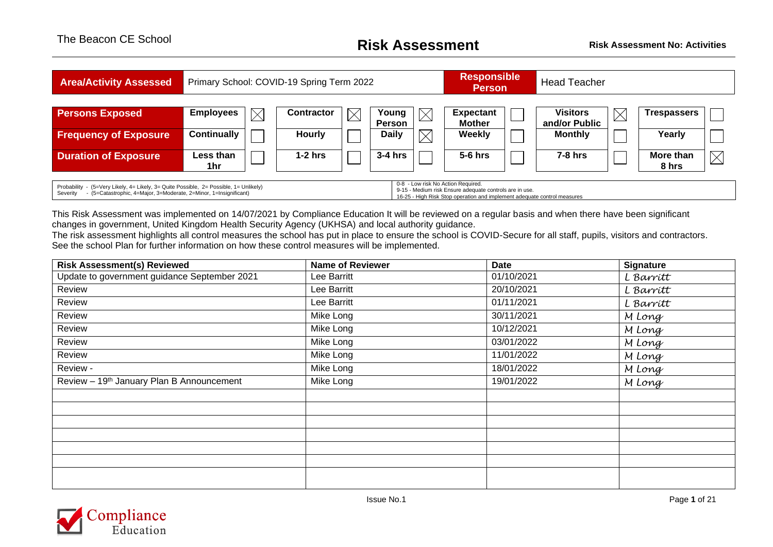## The Beacon CE School **Risk Assessment Risk Assessment No: Activities**

| <b>Area/Activity Assessed</b>                                                                                                                                                                                                                                                                                                                                |                                 | Primary School: COVID-19 Spring Term 2022 |             |                               |             | <b>Responsible</b><br><b>Person</b> |  | <b>Head Teacher</b>             |             |                    |             |
|--------------------------------------------------------------------------------------------------------------------------------------------------------------------------------------------------------------------------------------------------------------------------------------------------------------------------------------------------------------|---------------------------------|-------------------------------------------|-------------|-------------------------------|-------------|-------------------------------------|--|---------------------------------|-------------|--------------------|-------------|
| <b>Persons Exposed</b>                                                                                                                                                                                                                                                                                                                                       | <b>Employees</b><br>$\boxtimes$ | <b>Contractor</b>                         | $\boxtimes$ | Young                         |             | <b>Expectant</b>                    |  | <b>Visitors</b>                 | $\boxtimes$ | <b>Trespassers</b> |             |
| <b>Frequency of Exposure</b>                                                                                                                                                                                                                                                                                                                                 | <b>Continually</b>              | Hourly                                    |             | <b>Person</b><br><b>Daily</b> | $\boxtimes$ | <b>Mother</b><br><b>Weekly</b>      |  | and/or Public<br><b>Monthly</b> |             | Yearly             |             |
| <b>Duration of Exposure</b>                                                                                                                                                                                                                                                                                                                                  | Less than<br>1hr                | $1-2$ hrs                                 |             | $3-4$ hrs                     |             | $5-6$ hrs                           |  | $7-8$ hrs                       |             | More than          | $\boxtimes$ |
| 8 hrs<br>0-8 - Low risk No Action Required.<br>Probability - (5=Very Likely, 4= Likely, 3= Quite Possible, 2= Possible, 1= Unlikely)<br>9-15 - Medium risk Ensure adequate controls are in use.<br>- (5=Catastrophic, 4=Major, 3=Moderate, 2=Minor, 1=Insignificant)<br>Severity<br>16-25 - High Risk Stop operation and implement adequate control measures |                                 |                                           |             |                               |             |                                     |  |                                 |             |                    |             |

This Risk Assessment was implemented on 14/07/2021 by Compliance Education It will be reviewed on a regular basis and when there have been significant changes in government, United Kingdom Health Security Agency (UKHSA) and local authority guidance.

The risk assessment highlights all control measures the school has put in place to ensure the school is COVID-Secure for all staff, pupils, visitors and contractors. See the school Plan for further information on how these control measures will be implemented.

| <b>Risk Assessment(s) Reviewed</b>           | <b>Name of Reviewer</b> | <b>Date</b> | <b>Signature</b> |
|----------------------------------------------|-------------------------|-------------|------------------|
| Update to government guidance September 2021 | Lee Barritt             | 01/10/2021  | L Barritt        |
| Review                                       | Lee Barritt             | 20/10/2021  | L Barritt        |
| Review                                       | Lee Barritt             | 01/11/2021  | L Barritt        |
| Review                                       | Mike Long               | 30/11/2021  | M Long           |
| Review                                       | Mike Long               | 10/12/2021  | M Long           |
| Review                                       | Mike Long               | 03/01/2022  | M Long           |
| Review                                       | Mike Long               | 11/01/2022  | M Long           |
| Review -                                     | Mike Long               | 18/01/2022  | M Long           |
| Review - 19th January Plan B Announcement    | Mike Long               | 19/01/2022  | M Long           |
|                                              |                         |             |                  |
|                                              |                         |             |                  |
|                                              |                         |             |                  |
|                                              |                         |             |                  |
|                                              |                         |             |                  |
|                                              |                         |             |                  |
|                                              |                         |             |                  |
|                                              |                         |             |                  |

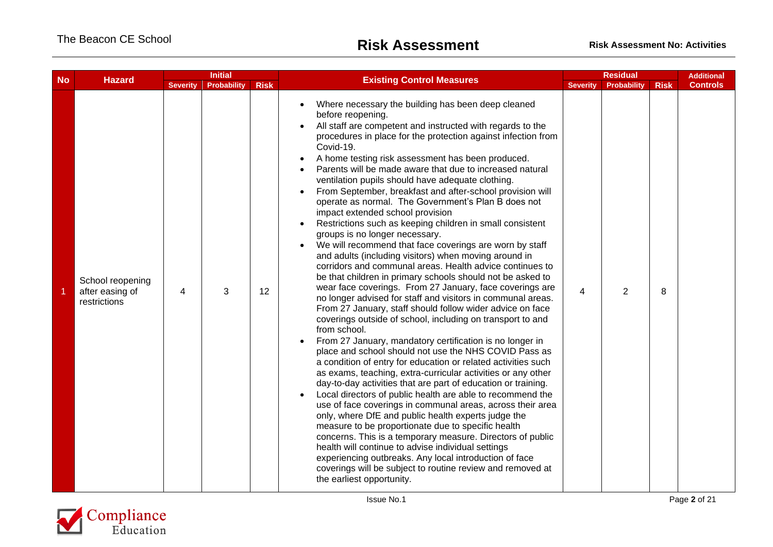| <b>No</b> | <b>Hazard</b>                                       | <b>Initial</b>  |                    | <b>Existing Control Measures</b> |                                                                                                                                                                                                                                                                                                                                                                                                                                                                                                                                                                                                                                                                                                                                                                                                                                                                                                                                                                                                                                                                                                                                                                                                                                                                                                                                                                                                                                                                                                                                                                                                                                                                                                                                                                                                                                                                                                                                                                                                                                         |                 | <b>Residual</b>    |             |                 |  |
|-----------|-----------------------------------------------------|-----------------|--------------------|----------------------------------|-----------------------------------------------------------------------------------------------------------------------------------------------------------------------------------------------------------------------------------------------------------------------------------------------------------------------------------------------------------------------------------------------------------------------------------------------------------------------------------------------------------------------------------------------------------------------------------------------------------------------------------------------------------------------------------------------------------------------------------------------------------------------------------------------------------------------------------------------------------------------------------------------------------------------------------------------------------------------------------------------------------------------------------------------------------------------------------------------------------------------------------------------------------------------------------------------------------------------------------------------------------------------------------------------------------------------------------------------------------------------------------------------------------------------------------------------------------------------------------------------------------------------------------------------------------------------------------------------------------------------------------------------------------------------------------------------------------------------------------------------------------------------------------------------------------------------------------------------------------------------------------------------------------------------------------------------------------------------------------------------------------------------------------------|-----------------|--------------------|-------------|-----------------|--|
|           |                                                     | <b>Severity</b> | <b>Probability</b> | <b>Risk</b>                      |                                                                                                                                                                                                                                                                                                                                                                                                                                                                                                                                                                                                                                                                                                                                                                                                                                                                                                                                                                                                                                                                                                                                                                                                                                                                                                                                                                                                                                                                                                                                                                                                                                                                                                                                                                                                                                                                                                                                                                                                                                         | <b>Severity</b> | <b>Probability</b> | <b>Risk</b> | <b>Controls</b> |  |
|           | School reopening<br>after easing of<br>restrictions | 4               | 3                  | 12                               | Where necessary the building has been deep cleaned<br>$\bullet$<br>before reopening.<br>All staff are competent and instructed with regards to the<br>procedures in place for the protection against infection from<br>Covid-19.<br>A home testing risk assessment has been produced.<br>$\bullet$<br>Parents will be made aware that due to increased natural<br>ventilation pupils should have adequate clothing.<br>From September, breakfast and after-school provision will<br>operate as normal. The Government's Plan B does not<br>impact extended school provision<br>Restrictions such as keeping children in small consistent<br>groups is no longer necessary.<br>We will recommend that face coverings are worn by staff<br>and adults (including visitors) when moving around in<br>corridors and communal areas. Health advice continues to<br>be that children in primary schools should not be asked to<br>wear face coverings. From 27 January, face coverings are<br>no longer advised for staff and visitors in communal areas.<br>From 27 January, staff should follow wider advice on face<br>coverings outside of school, including on transport to and<br>from school.<br>From 27 January, mandatory certification is no longer in<br>place and school should not use the NHS COVID Pass as<br>a condition of entry for education or related activities such<br>as exams, teaching, extra-curricular activities or any other<br>day-to-day activities that are part of education or training.<br>Local directors of public health are able to recommend the<br>use of face coverings in communal areas, across their area<br>only, where DfE and public health experts judge the<br>measure to be proportionate due to specific health<br>concerns. This is a temporary measure. Directors of public<br>health will continue to advise individual settings<br>experiencing outbreaks. Any local introduction of face<br>coverings will be subject to routine review and removed at<br>the earliest opportunity. | 4               | $\overline{2}$     | 8           |                 |  |

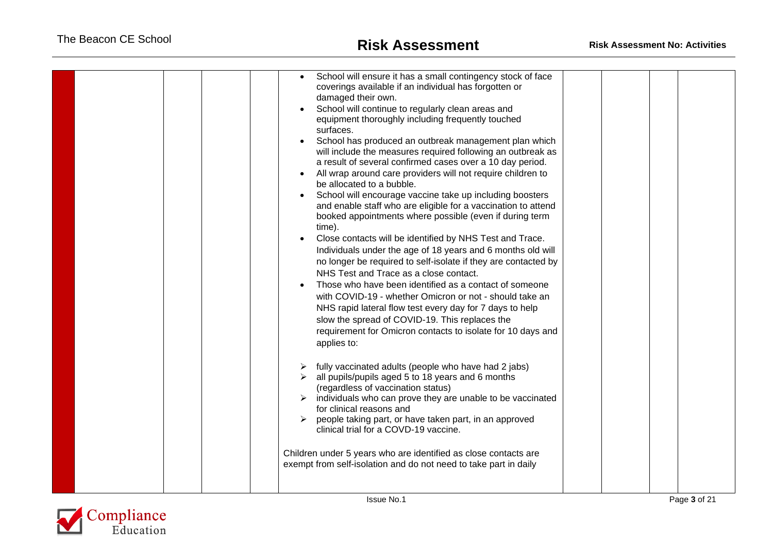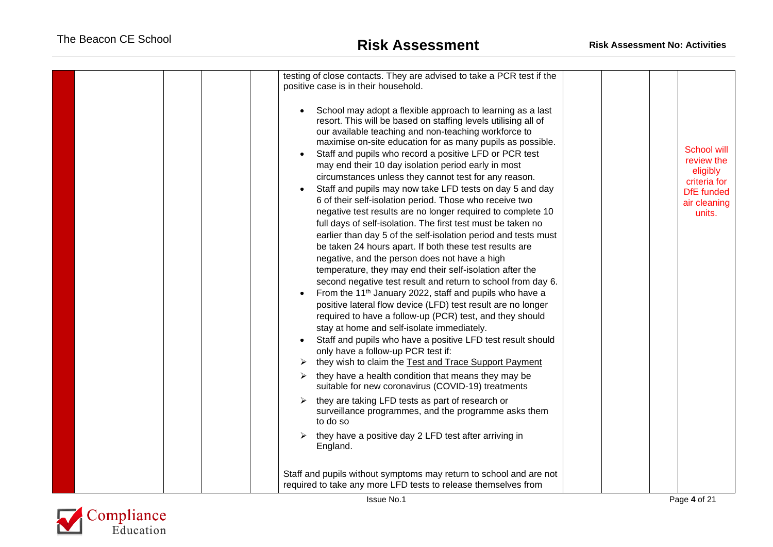| testing of close contacts. They are advised to take a PCR test if the<br>positive case is in their household.                                                                                                                                                                                                                                                                                                                                                                                                                                                                                                                                                                                                                                                                                                                                                                                                                                                                                                                                                                                                                                                                                                                                                                                                                                                                                                                                                                                                                                                                                                                             |                                                                                                             |
|-------------------------------------------------------------------------------------------------------------------------------------------------------------------------------------------------------------------------------------------------------------------------------------------------------------------------------------------------------------------------------------------------------------------------------------------------------------------------------------------------------------------------------------------------------------------------------------------------------------------------------------------------------------------------------------------------------------------------------------------------------------------------------------------------------------------------------------------------------------------------------------------------------------------------------------------------------------------------------------------------------------------------------------------------------------------------------------------------------------------------------------------------------------------------------------------------------------------------------------------------------------------------------------------------------------------------------------------------------------------------------------------------------------------------------------------------------------------------------------------------------------------------------------------------------------------------------------------------------------------------------------------|-------------------------------------------------------------------------------------------------------------|
| School may adopt a flexible approach to learning as a last<br>resort. This will be based on staffing levels utilising all of<br>our available teaching and non-teaching workforce to<br>maximise on-site education for as many pupils as possible.<br>Staff and pupils who record a positive LFD or PCR test<br>may end their 10 day isolation period early in most<br>circumstances unless they cannot test for any reason.<br>Staff and pupils may now take LFD tests on day 5 and day<br>6 of their self-isolation period. Those who receive two<br>negative test results are no longer required to complete 10<br>full days of self-isolation. The first test must be taken no<br>earlier than day 5 of the self-isolation period and tests must<br>be taken 24 hours apart. If both these test results are<br>negative, and the person does not have a high<br>temperature, they may end their self-isolation after the<br>second negative test result and return to school from day 6.<br>From the 11 <sup>th</sup> January 2022, staff and pupils who have a<br>positive lateral flow device (LFD) test result are no longer<br>required to have a follow-up (PCR) test, and they should<br>stay at home and self-isolate immediately.<br>Staff and pupils who have a positive LFD test result should<br>only have a follow-up PCR test if:<br>they wish to claim the Test and Trace Support Payment<br>they have a health condition that means they may be<br>➤<br>suitable for new coronavirus (COVID-19) treatments<br>they are taking LFD tests as part of research or<br>surveillance programmes, and the programme asks them | <b>School will</b><br>review the<br>eligibly<br>criteria for<br><b>DfE</b> funded<br>air cleaning<br>units. |
| to do so<br>they have a positive day 2 LFD test after arriving in<br>➤                                                                                                                                                                                                                                                                                                                                                                                                                                                                                                                                                                                                                                                                                                                                                                                                                                                                                                                                                                                                                                                                                                                                                                                                                                                                                                                                                                                                                                                                                                                                                                    |                                                                                                             |
| England.                                                                                                                                                                                                                                                                                                                                                                                                                                                                                                                                                                                                                                                                                                                                                                                                                                                                                                                                                                                                                                                                                                                                                                                                                                                                                                                                                                                                                                                                                                                                                                                                                                  |                                                                                                             |
| Staff and pupils without symptoms may return to school and are not<br>required to take any more LFD tests to release themselves from                                                                                                                                                                                                                                                                                                                                                                                                                                                                                                                                                                                                                                                                                                                                                                                                                                                                                                                                                                                                                                                                                                                                                                                                                                                                                                                                                                                                                                                                                                      |                                                                                                             |
| <b>Issue No.1</b>                                                                                                                                                                                                                                                                                                                                                                                                                                                                                                                                                                                                                                                                                                                                                                                                                                                                                                                                                                                                                                                                                                                                                                                                                                                                                                                                                                                                                                                                                                                                                                                                                         | Page 4 of 21                                                                                                |

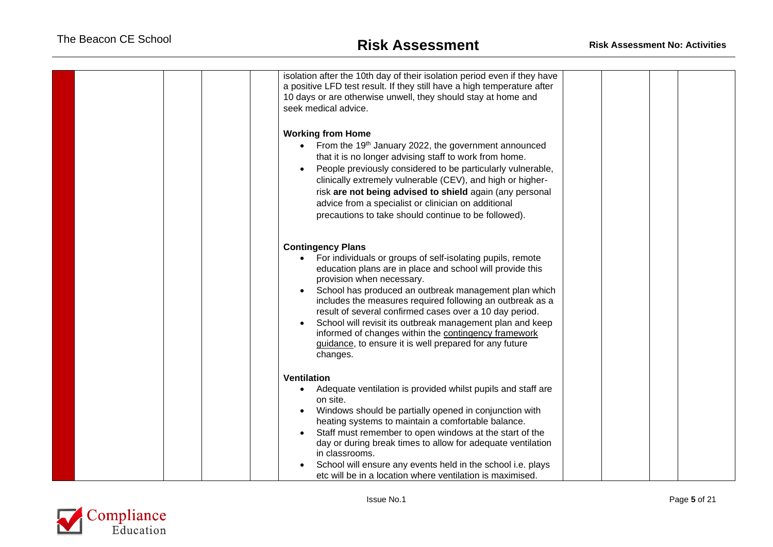| isolation after the 10th day of their isolation period even if they have<br>a positive LFD test result. If they still have a high temperature after<br>10 days or are otherwise unwell, they should stay at home and<br>seek medical advice.                                                                                                                                                                                                                                                                                                                   |  |
|----------------------------------------------------------------------------------------------------------------------------------------------------------------------------------------------------------------------------------------------------------------------------------------------------------------------------------------------------------------------------------------------------------------------------------------------------------------------------------------------------------------------------------------------------------------|--|
| <b>Working from Home</b><br>From the 19 <sup>th</sup> January 2022, the government announced<br>that it is no longer advising staff to work from home.<br>People previously considered to be particularly vulnerable,<br>clinically extremely vulnerable (CEV), and high or higher-<br>risk are not being advised to shield again (any personal<br>advice from a specialist or clinician on additional<br>precautions to take should continue to be followed).                                                                                                 |  |
| <b>Contingency Plans</b><br>• For individuals or groups of self-isolating pupils, remote<br>education plans are in place and school will provide this<br>provision when necessary.<br>School has produced an outbreak management plan which<br>includes the measures required following an outbreak as a<br>result of several confirmed cases over a 10 day period.<br>School will revisit its outbreak management plan and keep<br>informed of changes within the contingency framework<br>guidance, to ensure it is well prepared for any future<br>changes. |  |
| <b>Ventilation</b><br>Adequate ventilation is provided whilst pupils and staff are<br>on site.<br>Windows should be partially opened in conjunction with<br>heating systems to maintain a comfortable balance.<br>Staff must remember to open windows at the start of the<br>day or during break times to allow for adequate ventilation<br>in classrooms.<br>School will ensure any events held in the school i.e. plays<br>etc will be in a location where ventilation is maximised.                                                                         |  |

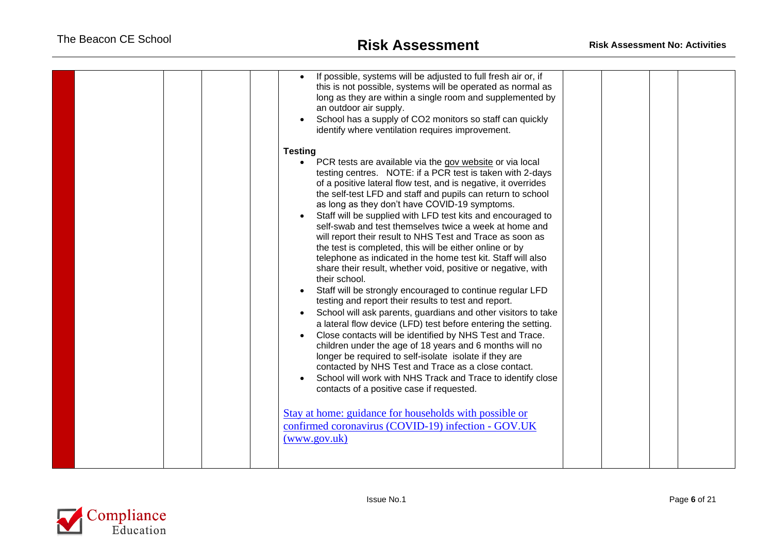| If possible, systems will be adjusted to full fresh air or, if<br>this is not possible, systems will be operated as normal as<br>long as they are within a single room and supplemented by<br>an outdoor air supply.<br>School has a supply of CO2 monitors so staff can quickly<br>identify where ventilation requires improvement.<br><b>Testing</b>                                                                                                                                                                                                                                                                                                                                                                                                                                                                                                                                                                                                                                                                                                                                                                                                                                                                                                                                                                                                                                                                                                  |
|---------------------------------------------------------------------------------------------------------------------------------------------------------------------------------------------------------------------------------------------------------------------------------------------------------------------------------------------------------------------------------------------------------------------------------------------------------------------------------------------------------------------------------------------------------------------------------------------------------------------------------------------------------------------------------------------------------------------------------------------------------------------------------------------------------------------------------------------------------------------------------------------------------------------------------------------------------------------------------------------------------------------------------------------------------------------------------------------------------------------------------------------------------------------------------------------------------------------------------------------------------------------------------------------------------------------------------------------------------------------------------------------------------------------------------------------------------|
| • PCR tests are available via the gov website or via local<br>testing centres. NOTE: if a PCR test is taken with 2-days<br>of a positive lateral flow test, and is negative, it overrides<br>the self-test LFD and staff and pupils can return to school<br>as long as they don't have COVID-19 symptoms.<br>Staff will be supplied with LFD test kits and encouraged to<br>self-swab and test themselves twice a week at home and<br>will report their result to NHS Test and Trace as soon as<br>the test is completed, this will be either online or by<br>telephone as indicated in the home test kit. Staff will also<br>share their result, whether void, positive or negative, with<br>their school.<br>Staff will be strongly encouraged to continue regular LFD<br>testing and report their results to test and report.<br>School will ask parents, guardians and other visitors to take<br>a lateral flow device (LFD) test before entering the setting.<br>Close contacts will be identified by NHS Test and Trace.<br>children under the age of 18 years and 6 months will no<br>longer be required to self-isolate isolate if they are<br>contacted by NHS Test and Trace as a close contact.<br>School will work with NHS Track and Trace to identify close<br>contacts of a positive case if requested.<br>Stay at home: guidance for households with possible or<br>confirmed coronavirus (COVID-19) infection - GOV.UK<br>(www.gov.uk) |
|                                                                                                                                                                                                                                                                                                                                                                                                                                                                                                                                                                                                                                                                                                                                                                                                                                                                                                                                                                                                                                                                                                                                                                                                                                                                                                                                                                                                                                                         |

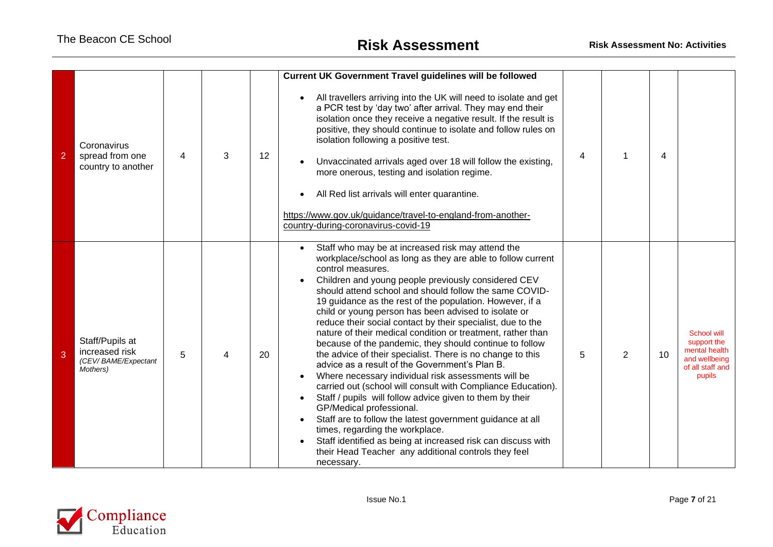| $\overline{2}$ | Coronavirus<br>spread from one<br>country to another                 | 4 | 3 | 12 | <b>Current UK Government Travel guidelines will be followed</b><br>All travellers arriving into the UK will need to isolate and get<br>a PCR test by 'day two' after arrival. They may end their<br>isolation once they receive a negative result. If the result is<br>positive, they should continue to isolate and follow rules on<br>isolation following a positive test.<br>Unvaccinated arrivals aged over 18 will follow the existing,<br>more onerous, testing and isolation regime.<br>All Red list arrivals will enter quarantine.<br>https://www.gov.uk/guidance/travel-to-england-from-another-<br>country-during-coronavirus-covid-19                                                                                                                                                                                                                                                                                                                                                                                                                                                                                        | 4 |                | 4  |                                                                                            |
|----------------|----------------------------------------------------------------------|---|---|----|------------------------------------------------------------------------------------------------------------------------------------------------------------------------------------------------------------------------------------------------------------------------------------------------------------------------------------------------------------------------------------------------------------------------------------------------------------------------------------------------------------------------------------------------------------------------------------------------------------------------------------------------------------------------------------------------------------------------------------------------------------------------------------------------------------------------------------------------------------------------------------------------------------------------------------------------------------------------------------------------------------------------------------------------------------------------------------------------------------------------------------------|---|----------------|----|--------------------------------------------------------------------------------------------|
| 3              | Staff/Pupils at<br>increased risk<br>(CEV/BAME/Expectant<br>Mothers) | 5 |   | 20 | Staff who may be at increased risk may attend the<br>workplace/school as long as they are able to follow current<br>control measures.<br>Children and young people previously considered CEV<br>should attend school and should follow the same COVID-<br>19 guidance as the rest of the population. However, if a<br>child or young person has been advised to isolate or<br>reduce their social contact by their specialist, due to the<br>nature of their medical condition or treatment, rather than<br>because of the pandemic, they should continue to follow<br>the advice of their specialist. There is no change to this<br>advice as a result of the Government's Plan B.<br>Where necessary individual risk assessments will be<br>carried out (school will consult with Compliance Education).<br>Staff / pupils will follow advice given to them by their<br>GP/Medical professional.<br>Staff are to follow the latest government guidance at all<br>times, regarding the workplace.<br>Staff identified as being at increased risk can discuss with<br>their Head Teacher any additional controls they feel<br>necessary. | 5 | $\overline{2}$ | 10 | School will<br>support the<br>mental health<br>and wellbeing<br>of all staff and<br>pupils |

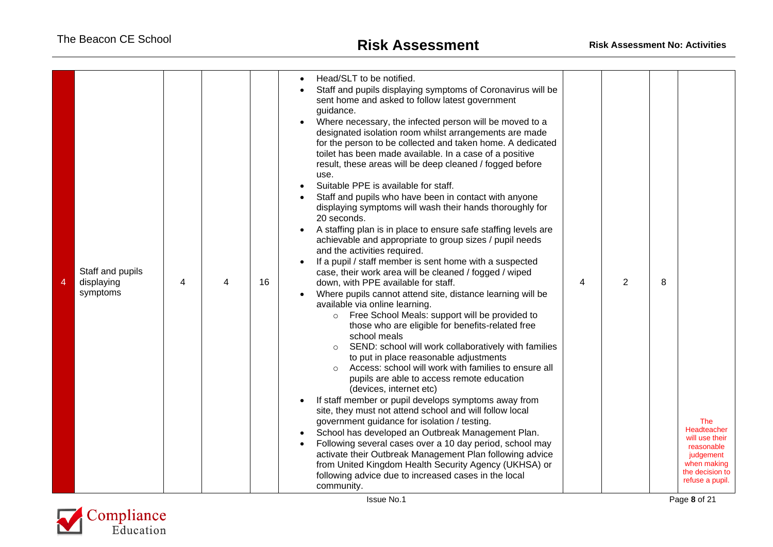| $\overline{4}$ | Staff and pupils<br>displaying<br>symptoms | 4 | 4 | 16 | Head/SLT to be notified.<br>Staff and pupils displaying symptoms of Coronavirus will be<br>sent home and asked to follow latest government<br>guidance.<br>Where necessary, the infected person will be moved to a<br>designated isolation room whilst arrangements are made<br>for the person to be collected and taken home. A dedicated<br>toilet has been made available. In a case of a positive<br>result, these areas will be deep cleaned / fogged before<br>use.<br>Suitable PPE is available for staff.<br>Staff and pupils who have been in contact with anyone<br>displaying symptoms will wash their hands thoroughly for<br>20 seconds.<br>A staffing plan is in place to ensure safe staffing levels are<br>achievable and appropriate to group sizes / pupil needs<br>and the activities required.<br>If a pupil / staff member is sent home with a suspected<br>case, their work area will be cleaned / fogged / wiped<br>down, with PPE available for staff.<br>Where pupils cannot attend site, distance learning will be<br>available via online learning.<br>Free School Meals: support will be provided to<br>$\circ$<br>those who are eligible for benefits-related free<br>school meals<br>SEND: school will work collaboratively with families<br>$\circ$<br>to put in place reasonable adjustments<br>Access: school will work with families to ensure all<br>$\circ$<br>pupils are able to access remote education<br>(devices, internet etc)<br>If staff member or pupil develops symptoms away from<br>site, they must not attend school and will follow local<br>government guidance for isolation / testing.<br>School has developed an Outbreak Management Plan.<br>Following several cases over a 10 day period, school may<br>activate their Outbreak Management Plan following advice<br>from United Kingdom Health Security Agency (UKHSA) or<br>following advice due to increased cases in the local<br>community. | 4 | $\overline{2}$ | 8 | The<br>Headteacher<br>will use their<br>reasonable<br>judgement<br>when making<br>the decision to<br>refuse a pupil. |
|----------------|--------------------------------------------|---|---|----|---------------------------------------------------------------------------------------------------------------------------------------------------------------------------------------------------------------------------------------------------------------------------------------------------------------------------------------------------------------------------------------------------------------------------------------------------------------------------------------------------------------------------------------------------------------------------------------------------------------------------------------------------------------------------------------------------------------------------------------------------------------------------------------------------------------------------------------------------------------------------------------------------------------------------------------------------------------------------------------------------------------------------------------------------------------------------------------------------------------------------------------------------------------------------------------------------------------------------------------------------------------------------------------------------------------------------------------------------------------------------------------------------------------------------------------------------------------------------------------------------------------------------------------------------------------------------------------------------------------------------------------------------------------------------------------------------------------------------------------------------------------------------------------------------------------------------------------------------------------------------------------------------------------------------------------------------------|---|----------------|---|----------------------------------------------------------------------------------------------------------------------|

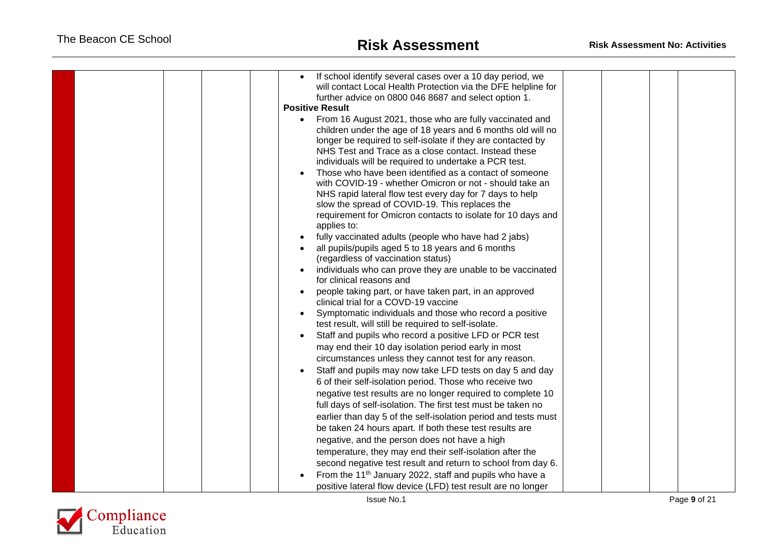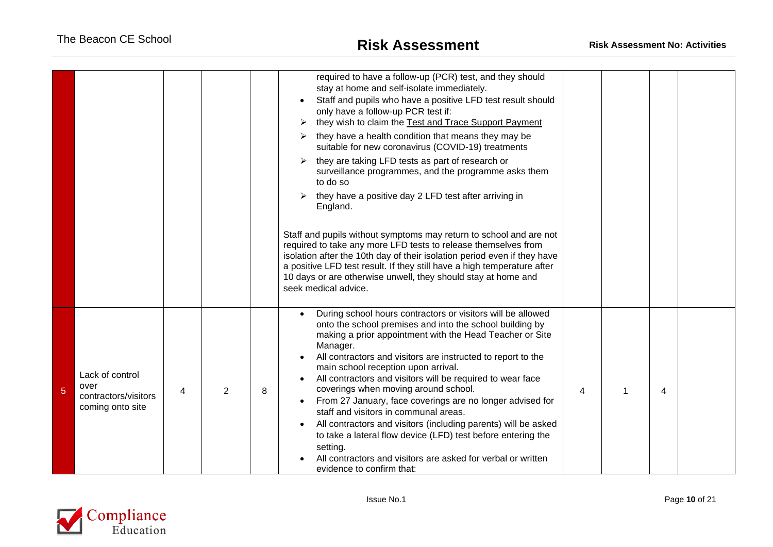|   |                                                                     |   |   |   | required to have a follow-up (PCR) test, and they should<br>stay at home and self-isolate immediately.<br>Staff and pupils who have a positive LFD test result should<br>only have a follow-up PCR test if:<br>they wish to claim the Test and Trace Support Payment<br>they have a health condition that means they may be<br>suitable for new coronavirus (COVID-19) treatments<br>they are taking LFD tests as part of research or<br>surveillance programmes, and the programme asks them<br>to do so<br>they have a positive day 2 LFD test after arriving in<br>England.<br>Staff and pupils without symptoms may return to school and are not<br>required to take any more LFD tests to release themselves from<br>isolation after the 10th day of their isolation period even if they have<br>a positive LFD test result. If they still have a high temperature after<br>10 days or are otherwise unwell, they should stay at home and<br>seek medical advice. |   |   |   |  |
|---|---------------------------------------------------------------------|---|---|---|------------------------------------------------------------------------------------------------------------------------------------------------------------------------------------------------------------------------------------------------------------------------------------------------------------------------------------------------------------------------------------------------------------------------------------------------------------------------------------------------------------------------------------------------------------------------------------------------------------------------------------------------------------------------------------------------------------------------------------------------------------------------------------------------------------------------------------------------------------------------------------------------------------------------------------------------------------------------|---|---|---|--|
| 5 | Lack of control<br>over<br>contractors/visitors<br>coming onto site | 4 | 2 | 8 | During school hours contractors or visitors will be allowed<br>$\bullet$<br>onto the school premises and into the school building by<br>making a prior appointment with the Head Teacher or Site<br>Manager.<br>All contractors and visitors are instructed to report to the<br>main school reception upon arrival.<br>All contractors and visitors will be required to wear face<br>coverings when moving around school.<br>From 27 January, face coverings are no longer advised for<br>staff and visitors in communal areas.<br>All contractors and visitors (including parents) will be asked<br>to take a lateral flow device (LFD) test before entering the<br>setting.<br>All contractors and visitors are asked for verbal or written<br>evidence to confirm that:                                                                                                                                                                                             | 4 | 1 | 4 |  |

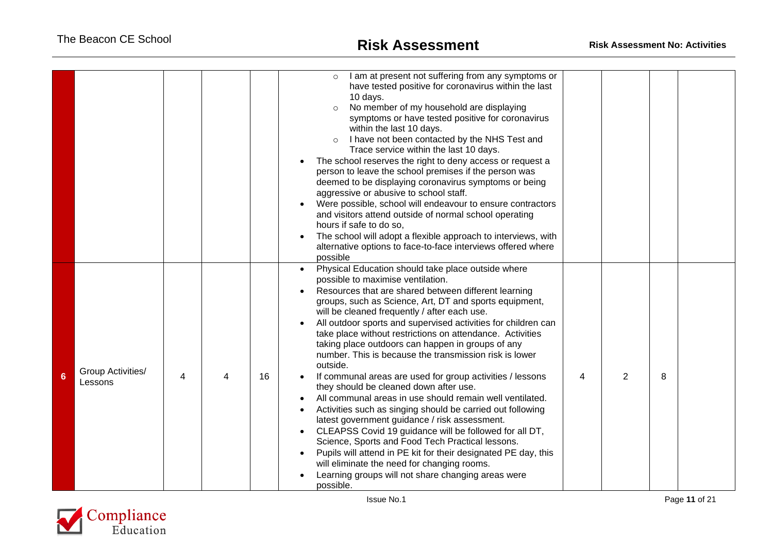|   |                              |   |    | I am at present not suffering from any symptoms or<br>$\circ$<br>have tested positive for coronavirus within the last<br>10 days.<br>No member of my household are displaying<br>$\circ$<br>symptoms or have tested positive for coronavirus<br>within the last 10 days.<br>I have not been contacted by the NHS Test and<br>$\circ$<br>Trace service within the last 10 days.<br>The school reserves the right to deny access or request a<br>person to leave the school premises if the person was<br>deemed to be displaying coronavirus symptoms or being<br>aggressive or abusive to school staff.<br>Were possible, school will endeavour to ensure contractors<br>and visitors attend outside of normal school operating<br>hours if safe to do so,<br>The school will adopt a flexible approach to interviews, with<br>alternative options to face-to-face interviews offered where<br>possible                                                                                                                                                                                                |   |              |   |  |
|---|------------------------------|---|----|--------------------------------------------------------------------------------------------------------------------------------------------------------------------------------------------------------------------------------------------------------------------------------------------------------------------------------------------------------------------------------------------------------------------------------------------------------------------------------------------------------------------------------------------------------------------------------------------------------------------------------------------------------------------------------------------------------------------------------------------------------------------------------------------------------------------------------------------------------------------------------------------------------------------------------------------------------------------------------------------------------------------------------------------------------------------------------------------------------|---|--------------|---|--|
| 6 | Group Activities/<br>Lessons | 4 | 16 | Physical Education should take place outside where<br>possible to maximise ventilation.<br>Resources that are shared between different learning<br>groups, such as Science, Art, DT and sports equipment,<br>will be cleaned frequently / after each use.<br>All outdoor sports and supervised activities for children can<br>take place without restrictions on attendance. Activities<br>taking place outdoors can happen in groups of any<br>number. This is because the transmission risk is lower<br>outside.<br>If communal areas are used for group activities / lessons<br>they should be cleaned down after use.<br>All communal areas in use should remain well ventilated.<br>Activities such as singing should be carried out following<br>latest government guidance / risk assessment.<br>CLEAPSS Covid 19 guidance will be followed for all DT,<br>Science, Sports and Food Tech Practical lessons.<br>Pupils will attend in PE kit for their designated PE day, this<br>will eliminate the need for changing rooms.<br>Learning groups will not share changing areas were<br>possible. | 4 | $\mathbf{2}$ | 8 |  |

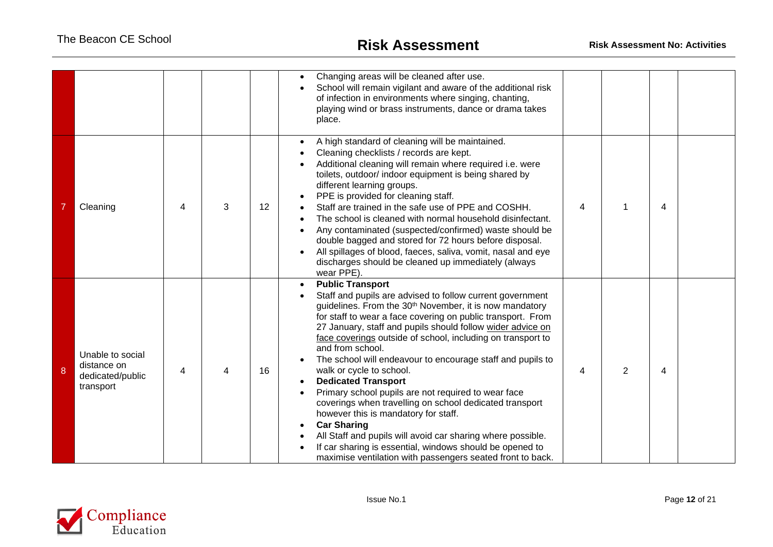|   |                                                                  |   |   |                 | Changing areas will be cleaned after use.<br>School will remain vigilant and aware of the additional risk<br>of infection in environments where singing, chanting,<br>playing wind or brass instruments, dance or drama takes<br>place.                                                                                                                                                                                                                                                                                                                                                                                                                                                                                                                                                                                                                                      |   |   |   |  |
|---|------------------------------------------------------------------|---|---|-----------------|------------------------------------------------------------------------------------------------------------------------------------------------------------------------------------------------------------------------------------------------------------------------------------------------------------------------------------------------------------------------------------------------------------------------------------------------------------------------------------------------------------------------------------------------------------------------------------------------------------------------------------------------------------------------------------------------------------------------------------------------------------------------------------------------------------------------------------------------------------------------------|---|---|---|--|
|   | Cleaning                                                         | 4 | 3 | 12 <sup>2</sup> | A high standard of cleaning will be maintained.<br>Cleaning checklists / records are kept.<br>Additional cleaning will remain where required i.e. were<br>toilets, outdoor/ indoor equipment is being shared by<br>different learning groups.<br>PPE is provided for cleaning staff.<br>Staff are trained in the safe use of PPE and COSHH.<br>The school is cleaned with normal household disinfectant.<br>Any contaminated (suspected/confirmed) waste should be<br>double bagged and stored for 72 hours before disposal.<br>All spillages of blood, faeces, saliva, vomit, nasal and eye<br>discharges should be cleaned up immediately (always<br>wear PPE).                                                                                                                                                                                                            | 4 |   | 4 |  |
| 8 | Unable to social<br>distance on<br>dedicated/public<br>transport | 4 |   | 16              | <b>Public Transport</b><br>Staff and pupils are advised to follow current government<br>guidelines. From the 30 <sup>th</sup> November, it is now mandatory<br>for staff to wear a face covering on public transport. From<br>27 January, staff and pupils should follow wider advice on<br>face coverings outside of school, including on transport to<br>and from school.<br>The school will endeavour to encourage staff and pupils to<br>walk or cycle to school.<br><b>Dedicated Transport</b><br>Primary school pupils are not required to wear face<br>coverings when travelling on school dedicated transport<br>however this is mandatory for staff.<br><b>Car Sharing</b><br>All Staff and pupils will avoid car sharing where possible.<br>If car sharing is essential, windows should be opened to<br>maximise ventilation with passengers seated front to back. | 4 | 2 | 4 |  |

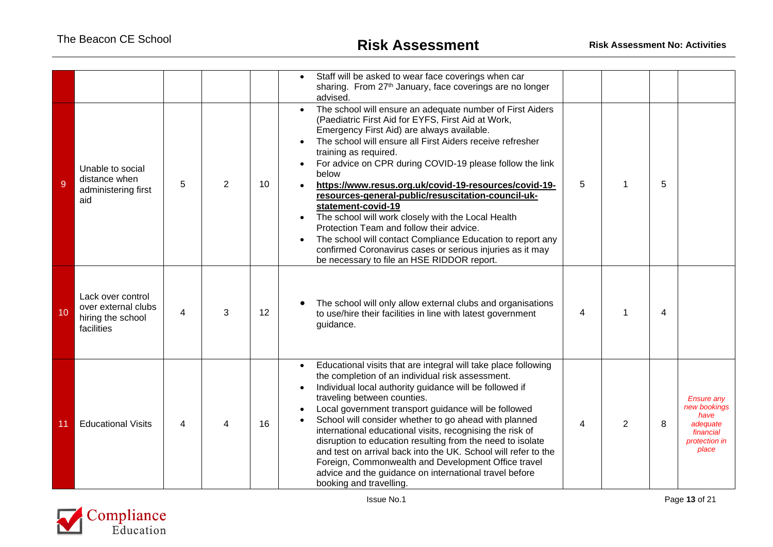|    |                                                                             |   |                |    | Staff will be asked to wear face coverings when car<br>sharing. From 27th January, face coverings are no longer<br>advised.                                                                                                                                                                                                                                                                                                                                                                                                                                                                                                                                                                                                              |   |   |   |                                                                                              |
|----|-----------------------------------------------------------------------------|---|----------------|----|------------------------------------------------------------------------------------------------------------------------------------------------------------------------------------------------------------------------------------------------------------------------------------------------------------------------------------------------------------------------------------------------------------------------------------------------------------------------------------------------------------------------------------------------------------------------------------------------------------------------------------------------------------------------------------------------------------------------------------------|---|---|---|----------------------------------------------------------------------------------------------|
| 9  | Unable to social<br>distance when<br>administering first<br>aid             | 5 | $\overline{2}$ | 10 | The school will ensure an adequate number of First Aiders<br>(Paediatric First Aid for EYFS, First Aid at Work,<br>Emergency First Aid) are always available.<br>The school will ensure all First Aiders receive refresher<br>training as required.<br>For advice on CPR during COVID-19 please follow the link<br>below<br>https://www.resus.org.uk/covid-19-resources/covid-19-<br>resources-general-public/resuscitation-council-uk-<br>statement-covid-19<br>The school will work closely with the Local Health<br>Protection Team and follow their advice.<br>The school will contact Compliance Education to report any<br>confirmed Coronavirus cases or serious injuries as it may<br>be necessary to file an HSE RIDDOR report. | 5 | 1 | 5 |                                                                                              |
| 10 | Lack over control<br>over external clubs<br>hiring the school<br>facilities | 4 | 3              | 12 | The school will only allow external clubs and organisations<br>to use/hire their facilities in line with latest government<br>guidance.                                                                                                                                                                                                                                                                                                                                                                                                                                                                                                                                                                                                  | 4 | 1 | 4 |                                                                                              |
| 11 | <b>Educational Visits</b>                                                   | 4 |                | 16 | Educational visits that are integral will take place following<br>the completion of an individual risk assessment.<br>Individual local authority guidance will be followed if<br>traveling between counties.<br>Local government transport guidance will be followed<br>School will consider whether to go ahead with planned<br>international educational visits, recognising the risk of<br>disruption to education resulting from the need to isolate<br>and test on arrival back into the UK. School will refer to the<br>Foreign, Commonwealth and Development Office travel<br>advice and the guidance on international travel before<br>booking and travelling.                                                                   | 4 | 2 | 8 | <b>Ensure any</b><br>new bookings<br>have<br>adequate<br>financial<br>protection in<br>place |

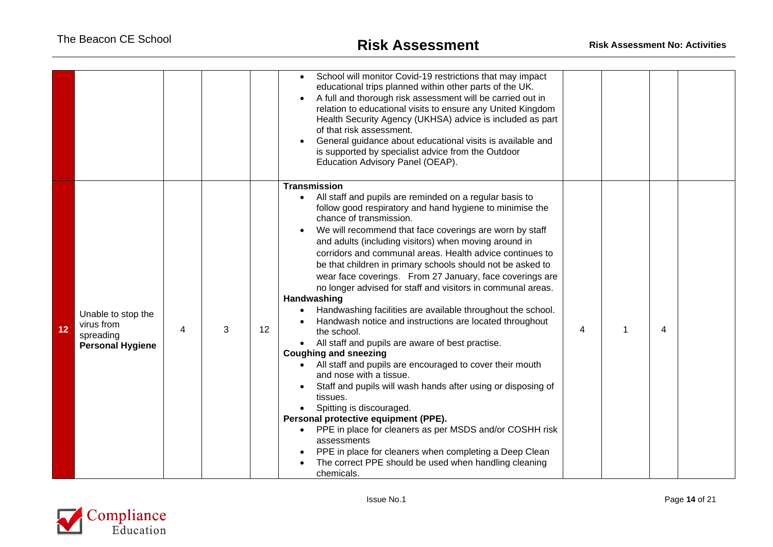|    |                                                                          |   |   |    | School will monitor Covid-19 restrictions that may impact<br>$\bullet$<br>educational trips planned within other parts of the UK.<br>A full and thorough risk assessment will be carried out in<br>relation to educational visits to ensure any United Kingdom<br>Health Security Agency (UKHSA) advice is included as part<br>of that risk assessment.<br>General guidance about educational visits is available and<br>is supported by specialist advice from the Outdoor<br>Education Advisory Panel (OEAP).                                                                                                                                                                                                                                                                                                                                                                                                                                                                                                                                                                                                                                                                                                                                                                     |   |   |  |
|----|--------------------------------------------------------------------------|---|---|----|-------------------------------------------------------------------------------------------------------------------------------------------------------------------------------------------------------------------------------------------------------------------------------------------------------------------------------------------------------------------------------------------------------------------------------------------------------------------------------------------------------------------------------------------------------------------------------------------------------------------------------------------------------------------------------------------------------------------------------------------------------------------------------------------------------------------------------------------------------------------------------------------------------------------------------------------------------------------------------------------------------------------------------------------------------------------------------------------------------------------------------------------------------------------------------------------------------------------------------------------------------------------------------------|---|---|--|
| 12 | Unable to stop the<br>virus from<br>spreading<br><b>Personal Hygiene</b> | 4 | 3 | 12 | <b>Transmission</b><br>All staff and pupils are reminded on a regular basis to<br>$\bullet$<br>follow good respiratory and hand hygiene to minimise the<br>chance of transmission.<br>We will recommend that face coverings are worn by staff<br>and adults (including visitors) when moving around in<br>corridors and communal areas. Health advice continues to<br>be that children in primary schools should not be asked to<br>wear face coverings. From 27 January, face coverings are<br>no longer advised for staff and visitors in communal areas.<br>Handwashing<br>Handwashing facilities are available throughout the school.<br>Handwash notice and instructions are located throughout<br>the school.<br>All staff and pupils are aware of best practise.<br>$\bullet$<br><b>Coughing and sneezing</b><br>All staff and pupils are encouraged to cover their mouth<br>$\bullet$<br>and nose with a tissue.<br>Staff and pupils will wash hands after using or disposing of<br>tissues.<br>Spitting is discouraged.<br>Personal protective equipment (PPE).<br>PPE in place for cleaners as per MSDS and/or COSHH risk<br>assessments<br>PPE in place for cleaners when completing a Deep Clean<br>The correct PPE should be used when handling cleaning<br>chemicals. | 4 | 4 |  |

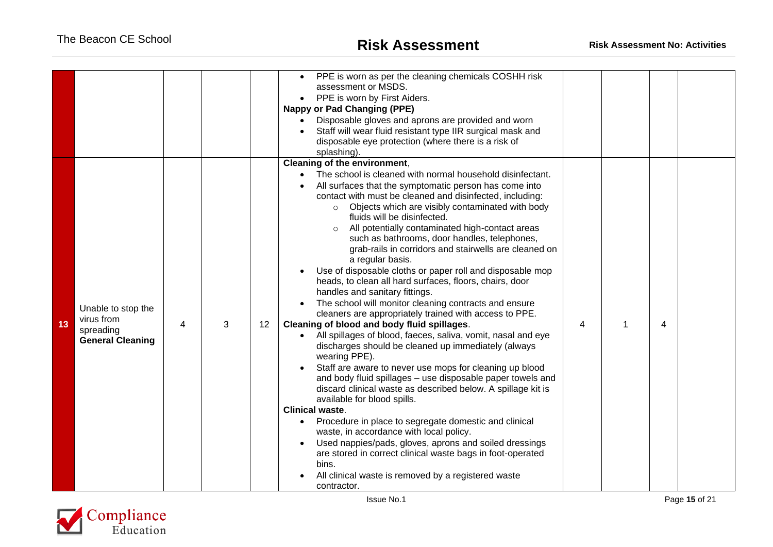|    |                         |   |   |                   | PPE is worn as per the cleaning chemicals COSHH risk<br>assessment or MSDS.<br>PPE is worn by First Aiders.<br>$\bullet$                          |   |   |   |  |
|----|-------------------------|---|---|-------------------|---------------------------------------------------------------------------------------------------------------------------------------------------|---|---|---|--|
|    |                         |   |   |                   | <b>Nappy or Pad Changing (PPE)</b>                                                                                                                |   |   |   |  |
|    |                         |   |   |                   | Disposable gloves and aprons are provided and worn                                                                                                |   |   |   |  |
|    |                         |   |   |                   | Staff will wear fluid resistant type IIR surgical mask and                                                                                        |   |   |   |  |
|    |                         |   |   |                   | disposable eye protection (where there is a risk of                                                                                               |   |   |   |  |
|    |                         |   |   |                   | splashing).                                                                                                                                       |   |   |   |  |
|    |                         |   |   |                   | Cleaning of the environment,                                                                                                                      |   |   |   |  |
|    |                         |   |   |                   | The school is cleaned with normal household disinfectant.                                                                                         |   |   |   |  |
|    |                         |   |   |                   | All surfaces that the symptomatic person has come into                                                                                            |   |   |   |  |
|    |                         |   |   |                   | contact with must be cleaned and disinfected, including:                                                                                          |   |   |   |  |
|    |                         |   |   |                   | Objects which are visibly contaminated with body<br>$\circ$                                                                                       |   |   |   |  |
|    |                         |   |   |                   | fluids will be disinfected.                                                                                                                       |   |   |   |  |
|    |                         |   |   |                   | All potentially contaminated high-contact areas<br>$\circ$                                                                                        |   |   |   |  |
|    |                         |   |   |                   | such as bathrooms, door handles, telephones,                                                                                                      |   |   |   |  |
|    |                         |   |   |                   | grab-rails in corridors and stairwells are cleaned on                                                                                             |   |   |   |  |
|    |                         |   |   |                   | a regular basis.                                                                                                                                  |   |   |   |  |
|    |                         |   |   |                   | Use of disposable cloths or paper roll and disposable mop                                                                                         |   |   |   |  |
|    |                         |   |   |                   | heads, to clean all hard surfaces, floors, chairs, door                                                                                           |   |   |   |  |
|    |                         |   |   |                   | handles and sanitary fittings.                                                                                                                    |   |   |   |  |
|    | Unable to stop the      |   |   |                   | The school will monitor cleaning contracts and ensure                                                                                             |   |   |   |  |
|    | virus from              |   |   |                   | cleaners are appropriately trained with access to PPE.                                                                                            |   |   |   |  |
| 13 | spreading               | 4 | 3 | $12 \overline{ }$ | Cleaning of blood and body fluid spillages.                                                                                                       | 4 | 1 | 4 |  |
|    | <b>General Cleaning</b> |   |   |                   | All spillages of blood, faeces, saliva, vomit, nasal and eye<br>$\bullet$<br>discharges should be cleaned up immediately (always<br>wearing PPE). |   |   |   |  |
|    |                         |   |   |                   | Staff are aware to never use mops for cleaning up blood                                                                                           |   |   |   |  |
|    |                         |   |   |                   | and body fluid spillages - use disposable paper towels and                                                                                        |   |   |   |  |
|    |                         |   |   |                   | discard clinical waste as described below. A spillage kit is                                                                                      |   |   |   |  |
|    |                         |   |   |                   | available for blood spills.                                                                                                                       |   |   |   |  |
|    |                         |   |   |                   | <b>Clinical waste.</b>                                                                                                                            |   |   |   |  |
|    |                         |   |   |                   | Procedure in place to segregate domestic and clinical<br>$\bullet$                                                                                |   |   |   |  |
|    |                         |   |   |                   | waste, in accordance with local policy.                                                                                                           |   |   |   |  |
|    |                         |   |   |                   | Used nappies/pads, gloves, aprons and soiled dressings                                                                                            |   |   |   |  |
|    |                         |   |   |                   | are stored in correct clinical waste bags in foot-operated                                                                                        |   |   |   |  |
|    |                         |   |   |                   | bins.                                                                                                                                             |   |   |   |  |
|    |                         |   |   |                   | All clinical waste is removed by a registered waste                                                                                               |   |   |   |  |
|    |                         |   |   |                   | contractor.                                                                                                                                       |   |   |   |  |

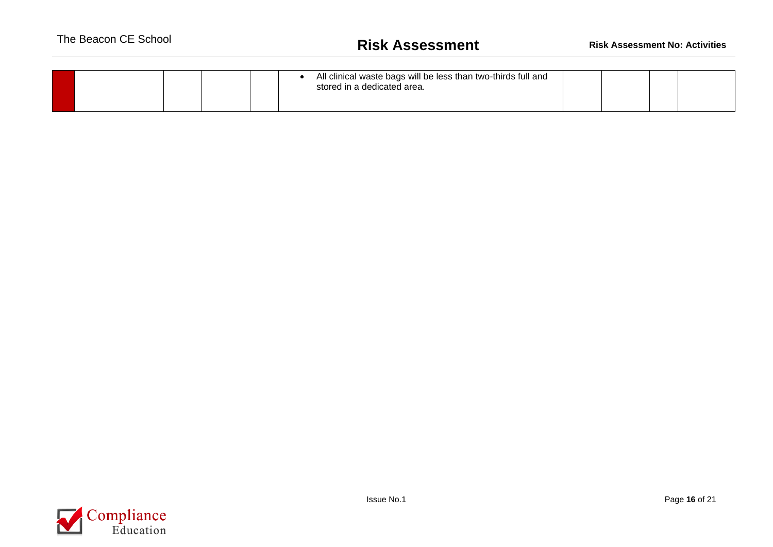|  | All clinical waste bags will be less than two-thirds full and<br>stored in a dedicated area. |  |  |  |  |
|--|----------------------------------------------------------------------------------------------|--|--|--|--|
|--|----------------------------------------------------------------------------------------------|--|--|--|--|

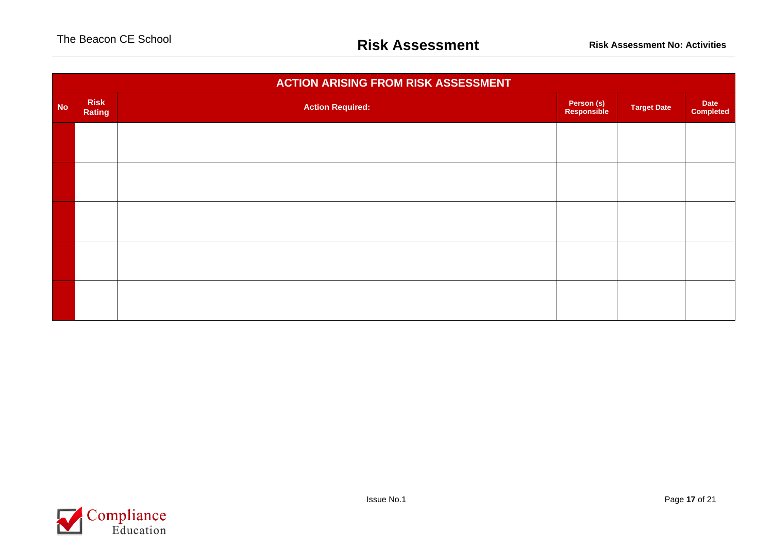|           | <b>ACTION ARISING FROM RISK ASSESSMENT</b> |                         |                           |                    |                          |  |  |  |  |  |  |  |
|-----------|--------------------------------------------|-------------------------|---------------------------|--------------------|--------------------------|--|--|--|--|--|--|--|
| <b>No</b> | <b>Risk</b><br>Rating                      | <b>Action Required:</b> | Person (s)<br>Responsible | <b>Target Date</b> | Date<br><b>Completed</b> |  |  |  |  |  |  |  |
|           |                                            |                         |                           |                    |                          |  |  |  |  |  |  |  |
|           |                                            |                         |                           |                    |                          |  |  |  |  |  |  |  |
|           |                                            |                         |                           |                    |                          |  |  |  |  |  |  |  |
|           |                                            |                         |                           |                    |                          |  |  |  |  |  |  |  |
|           |                                            |                         |                           |                    |                          |  |  |  |  |  |  |  |
|           |                                            |                         |                           |                    |                          |  |  |  |  |  |  |  |
|           |                                            |                         |                           |                    |                          |  |  |  |  |  |  |  |

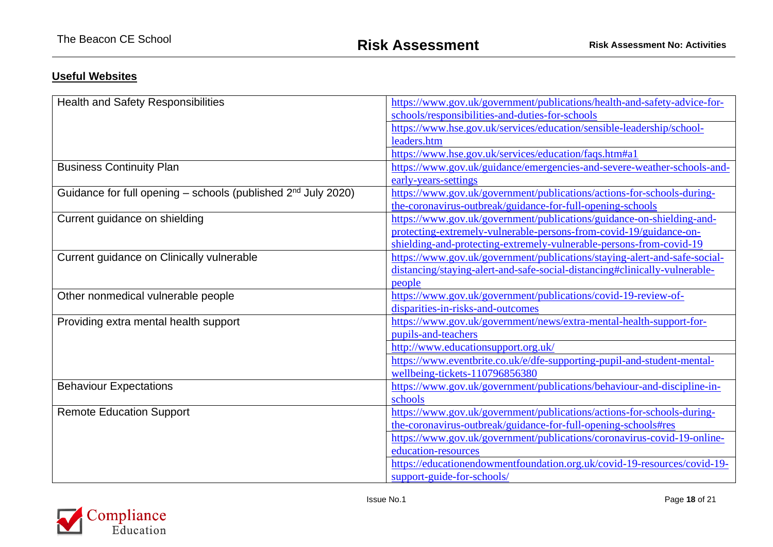## **Useful Websites**

| <b>Health and Safety Responsibilities</b>                                 | https://www.gov.uk/government/publications/health-and-safety-advice-for-   |
|---------------------------------------------------------------------------|----------------------------------------------------------------------------|
|                                                                           | schools/responsibilities-and-duties-for-schools                            |
|                                                                           | https://www.hse.gov.uk/services/education/sensible-leadership/school-      |
|                                                                           | leaders.htm                                                                |
|                                                                           | https://www.hse.gov.uk/services/education/faqs.htm#a1                      |
| <b>Business Continuity Plan</b>                                           | https://www.gov.uk/guidance/emergencies-and-severe-weather-schools-and-    |
|                                                                           | early-years-settings                                                       |
| Guidance for full opening - schools (published 2 <sup>nd</sup> July 2020) | https://www.gov.uk/government/publications/actions-for-schools-during-     |
|                                                                           | the-coronavirus-outbreak/guidance-for-full-opening-schools                 |
| Current guidance on shielding                                             | https://www.gov.uk/government/publications/guidance-on-shielding-and-      |
|                                                                           | protecting-extremely-vulnerable-persons-from-covid-19/guidance-on-         |
|                                                                           | shielding-and-protecting-extremely-vulnerable-persons-from-covid-19        |
| Current guidance on Clinically vulnerable                                 | https://www.gov.uk/government/publications/staying-alert-and-safe-social-  |
|                                                                           | distancing/staying-alert-and-safe-social-distancing#clinically-vulnerable- |
|                                                                           | people                                                                     |
| Other nonmedical vulnerable people                                        | https://www.gov.uk/government/publications/covid-19-review-of-             |
|                                                                           | disparities-in-risks-and-outcomes                                          |
| Providing extra mental health support                                     | https://www.gov.uk/government/news/extra-mental-health-support-for-        |
|                                                                           | pupils-and-teachers                                                        |
|                                                                           | http://www.educationsupport.org.uk/                                        |
|                                                                           | https://www.eventbrite.co.uk/e/dfe-supporting-pupil-and-student-mental-    |
|                                                                           | wellbeing-tickets-110796856380                                             |
| <b>Behaviour Expectations</b>                                             | https://www.gov.uk/government/publications/behaviour-and-discipline-in-    |
|                                                                           | schools                                                                    |
| <b>Remote Education Support</b>                                           | https://www.gov.uk/government/publications/actions-for-schools-during-     |
|                                                                           | the-coronavirus-outbreak/guidance-for-full-opening-schools#res             |
|                                                                           | https://www.gov.uk/government/publications/coronavirus-covid-19-online-    |
|                                                                           | education-resources                                                        |
|                                                                           | https://educationendowmentfoundation.org.uk/covid-19-resources/covid-19-   |
|                                                                           | support-guide-for-schools/                                                 |

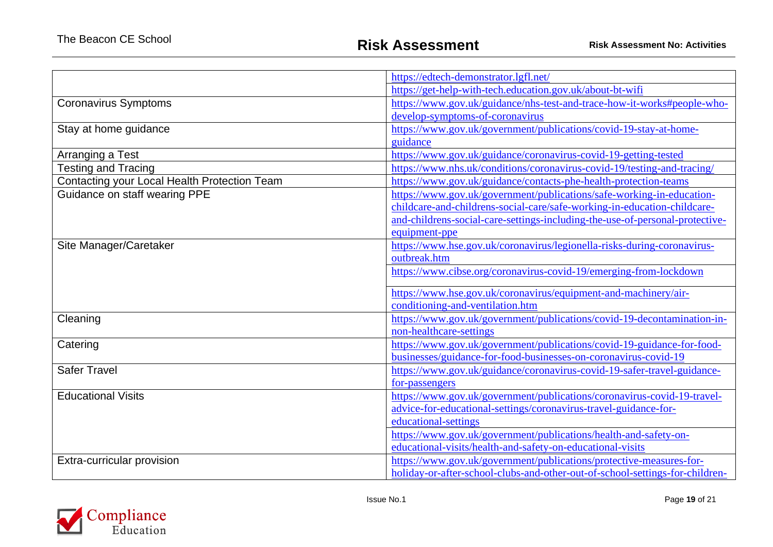|                                              | https://edtech-demonstrator.lgfl.net/                                        |
|----------------------------------------------|------------------------------------------------------------------------------|
|                                              | https://get-help-with-tech.education.gov.uk/about-bt-wifi                    |
| <b>Coronavirus Symptoms</b>                  | https://www.gov.uk/guidance/nhs-test-and-trace-how-it-works#people-who-      |
|                                              | develop-symptoms-of-coronavirus                                              |
| Stay at home guidance                        | https://www.gov.uk/government/publications/covid-19-stay-at-home-            |
|                                              | guidance                                                                     |
| Arranging a Test                             | https://www.gov.uk/guidance/coronavirus-covid-19-getting-tested              |
| <b>Testing and Tracing</b>                   | https://www.nhs.uk/conditions/coronavirus-covid-19/testing-and-tracing/      |
| Contacting your Local Health Protection Team | https://www.gov.uk/guidance/contacts-phe-health-protection-teams             |
| Guidance on staff wearing PPE                | https://www.gov.uk/government/publications/safe-working-in-education-        |
|                                              | childcare-and-childrens-social-care/safe-working-in-education-childcare-     |
|                                              | and-childrens-social-care-settings-including-the-use-of-personal-protective- |
|                                              | equipment-ppe                                                                |
| Site Manager/Caretaker                       | https://www.hse.gov.uk/coronavirus/legionella-risks-during-coronavirus-      |
|                                              | outbreak.htm                                                                 |
|                                              | https://www.cibse.org/coronavirus-covid-19/emerging-from-lockdown            |
|                                              | https://www.hse.gov.uk/coronavirus/equipment-and-machinery/air-              |
|                                              | conditioning-and-ventilation.htm                                             |
| Cleaning                                     | https://www.gov.uk/government/publications/covid-19-decontamination-in-      |
|                                              | non-healthcare-settings                                                      |
| Catering                                     | https://www.gov.uk/government/publications/covid-19-guidance-for-food-       |
|                                              | businesses/guidance-for-food-businesses-on-coronavirus-covid-19              |
| <b>Safer Travel</b>                          | https://www.gov.uk/guidance/coronavirus-covid-19-safer-travel-guidance-      |
|                                              | for-passengers                                                               |
| <b>Educational Visits</b>                    | https://www.gov.uk/government/publications/coronavirus-covid-19-travel-      |
|                                              | advice-for-educational-settings/coronavirus-travel-guidance-for-             |
|                                              | educational-settings                                                         |
|                                              | https://www.gov.uk/government/publications/health-and-safety-on-             |
|                                              | educational-visits/health-and-safety-on-educational-visits                   |
| Extra-curricular provision                   | https://www.gov.uk/government/publications/protective-measures-for-          |
|                                              | holiday-or-after-school-clubs-and-other-out-of-school-settings-for-children- |

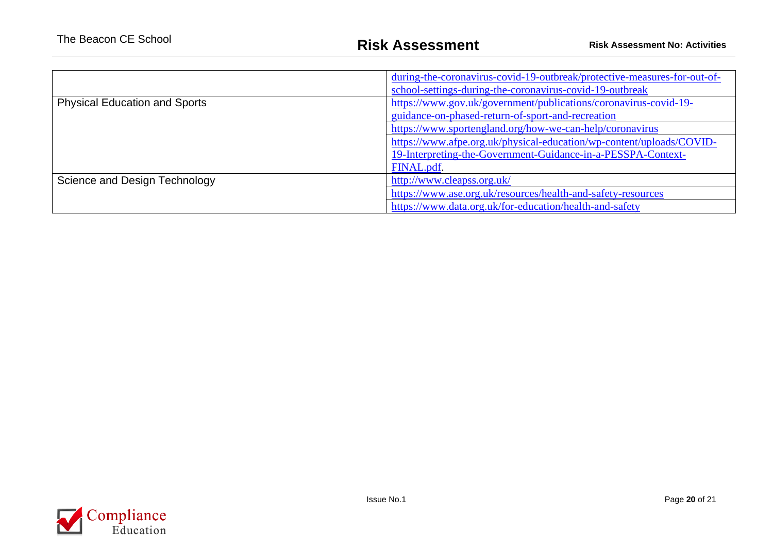|                                      | during-the-coronavirus-covid-19-outbreak/protective-measures-for-out-of- |
|--------------------------------------|--------------------------------------------------------------------------|
|                                      | school-settings-during-the-coronavirus-covid-19-outbreak                 |
| <b>Physical Education and Sports</b> | https://www.gov.uk/government/publications/coronavirus-covid-19-         |
|                                      | guidance-on-phased-return-of-sport-and-recreation                        |
|                                      | https://www.sportengland.org/how-we-can-help/coronavirus                 |
|                                      | https://www.afpe.org.uk/physical-education/wp-content/uploads/COVID-     |
|                                      | 19-Interpreting-the-Government-Guidance-in-a-PESSPA-Context-             |
|                                      | FINAL.pdf.                                                               |
| Science and Design Technology        | http://www.cleapss.org.uk/                                               |
|                                      | https://www.ase.org.uk/resources/health-and-safety-resources             |
|                                      | https://www.data.org.uk/for-education/health-and-safety                  |